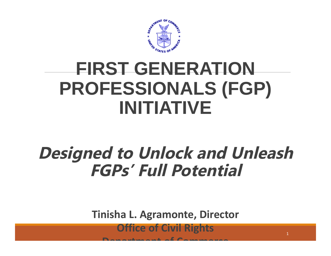

# **FIRST GENERATION PROFESSIONALS (FGP) INITIATIVE**

#### **Designed to Unlock and Unleash FGPs' Full Potential**

**Tinisha L. Agramonte, Director** 

**Office of Civil Rights**

**Department of Commerce**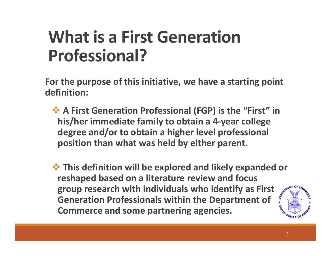## **What is a First Generation Professional?**

**For the purpose of this initiative, we have a starting point definition:**

- **A First Generation Professional (FGP) is the "First" in his/her immediate family to obtain a 4-year college degree and/or to obtain a higher level professional position than what was held by either parent.**
- $\triangle$  **This definition will be explored and likely expanded or reshaped based on a literature review and focus group research with individuals who identify as First Generation Professionals within the Department of Commerce and some partnering agencies.**

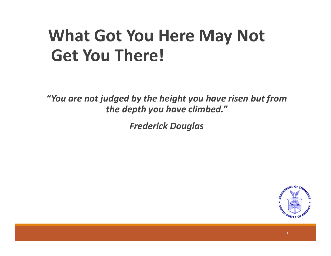## **What Got You Here May Not Get You There!**

*"You are not judged by the height you have risen but from the depth you have climbed."* 

*Frederick Douglas*

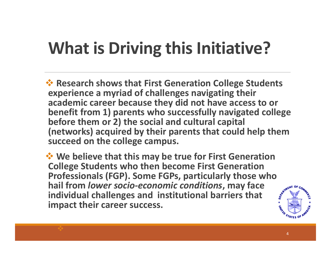# **What is Driving this Initiative?**

**<sup>◆</sup> Research shows that First Generation College Students experience a myriad of challenges navigating their academic career because they did not have access to or benefit from 1) parents who successfully navigated college before them or 2) the social and cultural capital (networks) acquired by their parents that could help them succeed on the college campus.** 

**We believe that this may be true for First Generation College Students who then become First Generation Professionals (FGP). Some FGPs, particularly those who hail from** *lower socio-economic conditions***, may face individual challenges and institutional barriers that impact their career success.**

 $\blacklozenge$ 

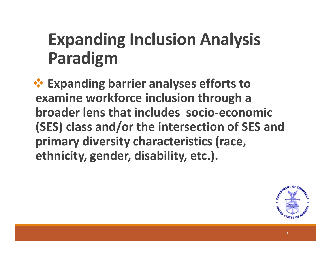# **Expanding Inclusion Analysis Paradigm**

 **Expanding barrier analyses efforts to examine workforce inclusion through a broader lens that includes socio-economic (SES) class and/or the intersection of SES and primary diversity characteristics (race, ethnicity, gender, disability, etc.).**

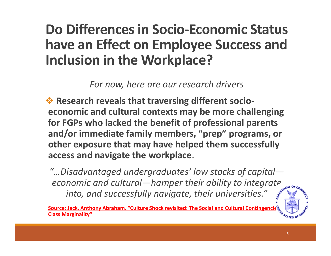#### **Do Differences in Socio-Economic Status have an Effect on Employee Success and Inclusion in the Workplace?**

*For now, here are our research drivers*

**☆ Research reveals that traversing different socioeconomic and cultural contexts may be more challenging for FGPs who lacked the benefit of professional parents and/or immediate family members, "prep" programs, or other exposure that may have helped them successfully access and navigate the workplace**.

*"…Disadvantaged undergraduates' low stocks of capital economic and cultural—hamper their ability to integrate into, and successfully navigate, their universities."*

**Source: Jack, Anthony Abraham. "Culture Shock revisited: The Social and Cultural Contingencies Class Marginality"**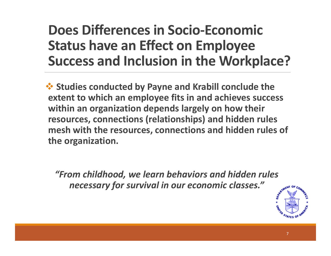#### **Does Differences in Socio-Economic Status have an Effect on Employee Success and Inclusion in the Workplace?**

 **Studies conducted by Payne and Krabill conclude the extent to which an employee fits in and achieves success within an organization depends largely on how their resources, connections (relationships) and hidden rules mesh with the resources, connections and hidden rules of the organization.**

*"From childhood, we learn behaviors and hidden rules necessary for survival in our economic classes."* 

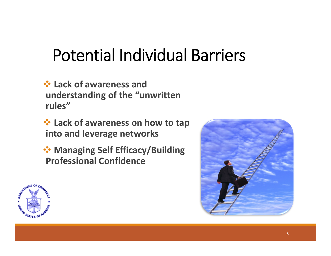## Potential Individual Barriers

- **Lack of awareness and understanding of the "unwritten rules"**
- **<del>☆</del> Lack of awareness on how to tap into and leverage networks**
- **Managing Self Efficacy/Building Professional Confidence**



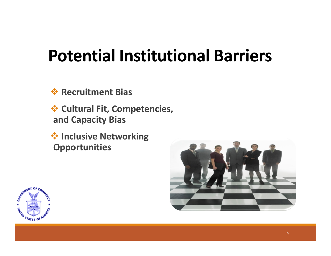### **Potential Institutional Barriers**

**Recruitment Bias** 

 **Cultural Fit, Competencies, and Capacity Bias**

 **Inclusive Networking Opportunities**



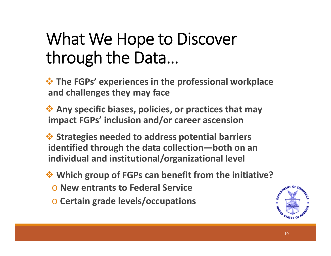### What We Hope to Discover through the Data…

 **The FGPs' experiences in the professional workplace and challenges they may face**

 **Any specific biases, policies, or practices that may impact FGPs' inclusion and/or career ascension**

 **Strategies needed to address potential barriers identified through the data collection—both on an individual and institutional/organizational level**

**Which group of FGPs can benefit from the initiative?**

- o **New entrants to Federal Service**
- o **Certain grade levels/occupations**

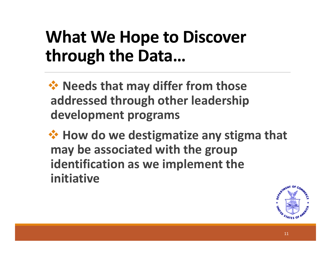## **What We Hope to Discover through the Data…**

**☆ Needs that may differ from those addressed through other leadership development programs**

**→ How do we destigmatize any stigma that may be associated with the group identification as we implement the initiative**

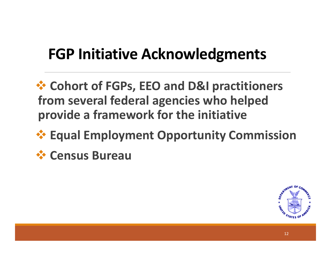#### **FGP Initiative Acknowledgments**

 **Cohort of FGPs, EEO and D&I practitioners from several federal agencies who helped provide a framework for the initiative**

#### **Equal Employment Opportunity Commission**

**Census Bureau**